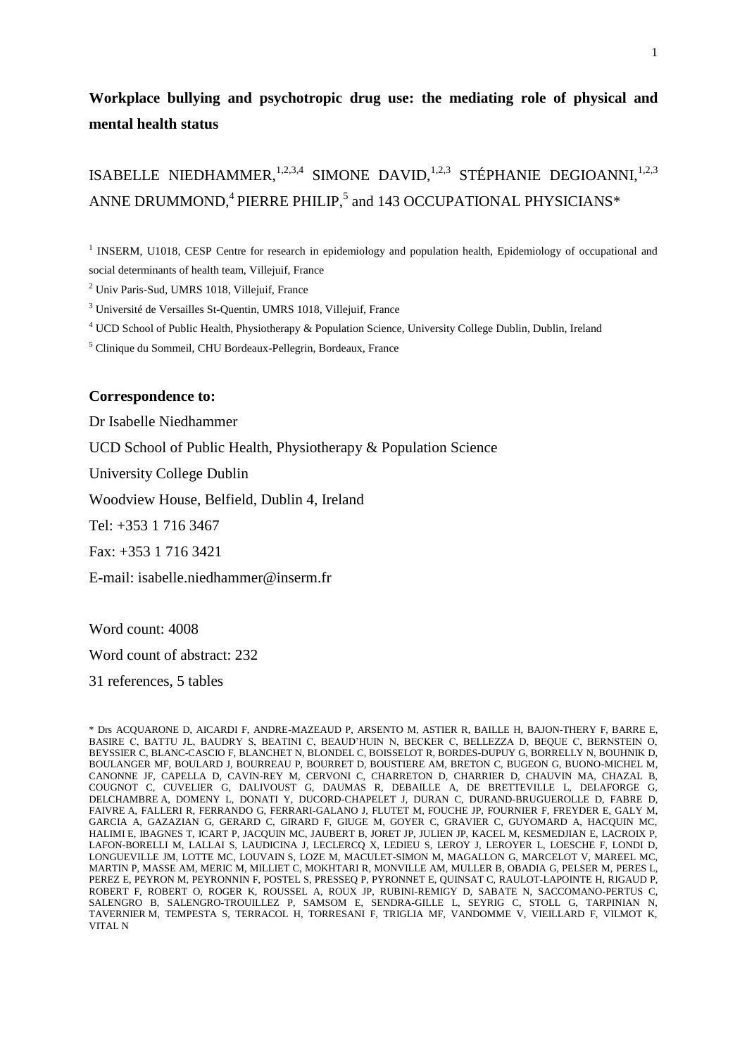# **Workplace bullying and psychotropic drug use: the mediating role of physical and mental health status**

ISABELLE NIEDHAMMER,<sup>1,2,3,4</sup> SIMONE DAVID,<sup>1,2,3</sup> STÉPHANIE DEGIOANNI,<sup>1,2,3</sup> ANNE DRUMMOND, $^4$  PIERRE PHILIP, $^5$  and 143 OCCUPATIONAL PHYSICIANS $^*$ 

<sup>1</sup> INSERM, U1018, CESP Centre for research in epidemiology and population health, Epidemiology of occupational and social determinants of health team, Villejuif, France

<sup>2</sup> Univ Paris-Sud, UMRS 1018, Villejuif, France

<sup>3</sup> Université de Versailles St-Quentin, UMRS 1018, Villejuif, France

<sup>4</sup> UCD School of Public Health, Physiotherapy & Population Science, University College Dublin, Dublin, Ireland

<sup>5</sup> Clinique du Sommeil, CHU Bordeaux-Pellegrin, Bordeaux, France

## **Correspondence to:**

Dr Isabelle Niedhammer UCD School of Public Health, Physiotherapy & Population Science University College Dublin Woodview House, Belfield, Dublin 4, Ireland Tel: +353 1 716 3467 Fax: +353 1 716 3421 E-mail: isabelle.niedhammer@inserm.fr

Word count: 4008

Word count of abstract: 232

31 references, 5 tables

<sup>\*</sup> Drs ACQUARONE D, AICARDI F, ANDRE-MAZEAUD P, ARSENTO M, ASTIER R, BAILLE H, BAJON-THERY F, BARRE E, BASIRE C, BATTU JL, BAUDRY S, BEATINI C, BEAUD'HUIN N, BECKER C, BELLEZZA D, BEQUE C, BERNSTEIN O, BEYSSIER C, BLANC-CASCIO F, BLANCHET N, BLONDEL C, BOISSELOT R, BORDES-DUPUY G, BORRELLY N, BOUHNIK D, BOULANGER MF, BOULARD J, BOURREAU P, BOURRET D, BOUSTIERE AM, BRETON C, BUGEON G, BUONO-MICHEL M, CANONNE JF, CAPELLA D, CAVIN-REY M, CERVONI C, CHARRETON D, CHARRIER D, CHAUVIN MA, CHAZAL B, COUGNOT C, CUVELIER G, DALIVOUST G, DAUMAS R, DEBAILLE A, DE BRETTEVILLE L, DELAFORGE G, DELCHAMBRE A, DOMENY L, DONATI Y, DUCORD-CHAPELET J, DURAN C, DURAND-BRUGUEROLLE D, FABRE D, FAIVRE A, FALLERI R, FERRANDO G, FERRARI-GALANO J, FLUTET M, FOUCHE JP, FOURNIER F, FREYDER E, GALY M, GARCIA A, GAZAZIAN G, GERARD C, GIRARD F, GIUGE M, GOYER C, GRAVIER C, GUYOMARD A, HACQUIN MC, HALIMI E, IBAGNES T, ICART P, JACQUIN MC, JAUBERT B, JORET JP, JULIEN JP, KACEL M, KESMEDJIAN E, LACROIX P, LAFON-BORELLI M, LALLAI S, LAUDICINA J, LECLERCQ X, LEDIEU S, LEROY J, LEROYER L, LOESCHE F, LONDI D, LONGUEVILLE JM, LOTTE MC, LOUVAIN S, LOZE M, MACULET-SIMON M, MAGALLON G, MARCELOT V, MAREEL MC, MARTIN P, MASSE AM, MERIC M, MILLIET C, MOKHTARI R, MONVILLE AM, MULLER B, OBADIA G, PELSER M, PERES L, PEREZ E, PEYRON M, PEYRONNIN F, POSTEL S, PRESSEQ P, PYRONNET E, QUINSAT C, RAULOT-LAPOINTE H, RIGAUD P, ROBERT F, ROBERT O, ROGER K, ROUSSEL A, ROUX JP, RUBINI-REMIGY D, SABATE N, SACCOMANO-PERTUS C, SALENGRO B, SALENGRO-TROUILLEZ P, SAMSOM E, SENDRA-GILLE L, SEYRIG C, STOLL G, TARPINIAN N, TAVERNIER M, TEMPESTA S, TERRACOL H, TORRESANI F, TRIGLIA MF, VANDOMME V, VIEILLARD F, VILMOT K, VITAL N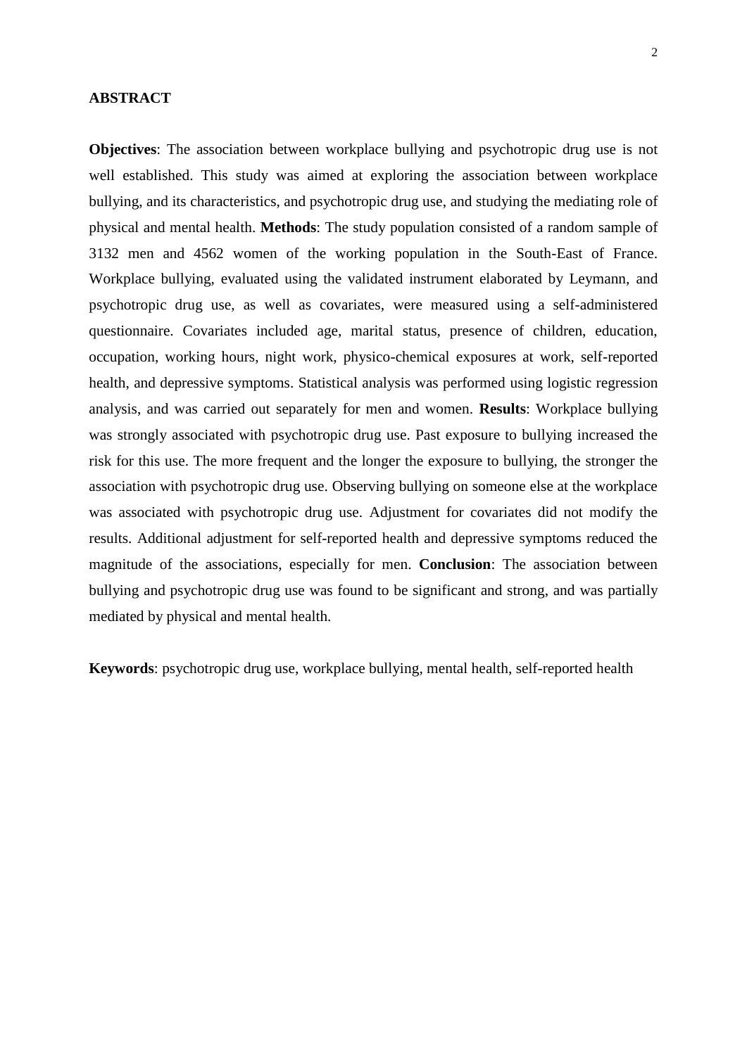## **ABSTRACT**

**Objectives**: The association between workplace bullying and psychotropic drug use is not well established. This study was aimed at exploring the association between workplace bullying, and its characteristics, and psychotropic drug use, and studying the mediating role of physical and mental health. **Methods**: The study population consisted of a random sample of 3132 men and 4562 women of the working population in the South-East of France. Workplace bullying, evaluated using the validated instrument elaborated by Leymann, and psychotropic drug use, as well as covariates, were measured using a self-administered questionnaire. Covariates included age, marital status, presence of children, education, occupation, working hours, night work, physico-chemical exposures at work, self-reported health, and depressive symptoms. Statistical analysis was performed using logistic regression analysis, and was carried out separately for men and women. **Results**: Workplace bullying was strongly associated with psychotropic drug use. Past exposure to bullying increased the risk for this use. The more frequent and the longer the exposure to bullying, the stronger the association with psychotropic drug use. Observing bullying on someone else at the workplace was associated with psychotropic drug use. Adjustment for covariates did not modify the results. Additional adjustment for self-reported health and depressive symptoms reduced the magnitude of the associations, especially for men. **Conclusion**: The association between bullying and psychotropic drug use was found to be significant and strong, and was partially mediated by physical and mental health.

**Keywords**: psychotropic drug use, workplace bullying, mental health, self-reported health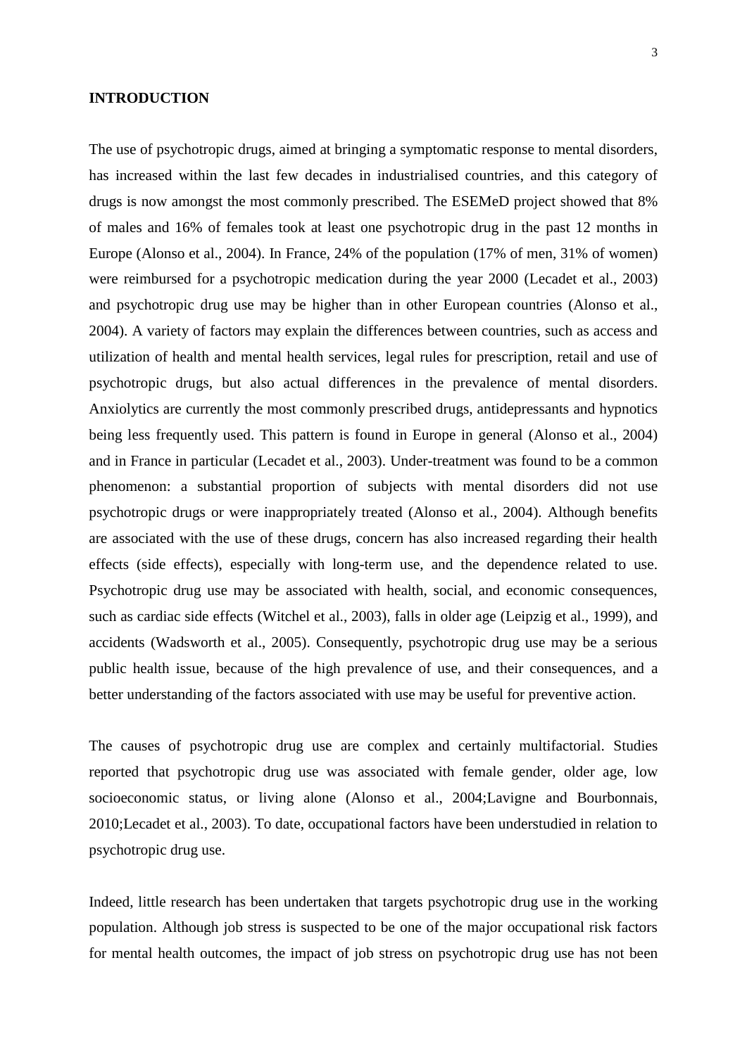#### **INTRODUCTION**

The use of psychotropic drugs, aimed at bringing a symptomatic response to mental disorders, has increased within the last few decades in industrialised countries, and this category of drugs is now amongst the most commonly prescribed. The ESEMeD project showed that 8% of males and 16% of females took at least one psychotropic drug in the past 12 months in Europe (Alonso et al., 2004). In France, 24% of the population (17% of men, 31% of women) were reimbursed for a psychotropic medication during the year 2000 (Lecadet et al., 2003) and psychotropic drug use may be higher than in other European countries (Alonso et al., 2004). A variety of factors may explain the differences between countries, such as access and utilization of health and mental health services, legal rules for prescription, retail and use of psychotropic drugs, but also actual differences in the prevalence of mental disorders. Anxiolytics are currently the most commonly prescribed drugs, antidepressants and hypnotics being less frequently used. This pattern is found in Europe in general (Alonso et al., 2004) and in France in particular (Lecadet et al., 2003). Under-treatment was found to be a common phenomenon: a substantial proportion of subjects with mental disorders did not use psychotropic drugs or were inappropriately treated (Alonso et al., 2004). Although benefits are associated with the use of these drugs, concern has also increased regarding their health effects (side effects), especially with long-term use, and the dependence related to use. Psychotropic drug use may be associated with health, social, and economic consequences, such as cardiac side effects (Witchel et al., 2003), falls in older age (Leipzig et al., 1999), and accidents (Wadsworth et al., 2005). Consequently, psychotropic drug use may be a serious public health issue, because of the high prevalence of use, and their consequences, and a better understanding of the factors associated with use may be useful for preventive action.

The causes of psychotropic drug use are complex and certainly multifactorial. Studies reported that psychotropic drug use was associated with female gender, older age, low socioeconomic status, or living alone (Alonso et al., 2004;Lavigne and Bourbonnais, 2010;Lecadet et al., 2003). To date, occupational factors have been understudied in relation to psychotropic drug use.

Indeed, little research has been undertaken that targets psychotropic drug use in the working population. Although job stress is suspected to be one of the major occupational risk factors for mental health outcomes, the impact of job stress on psychotropic drug use has not been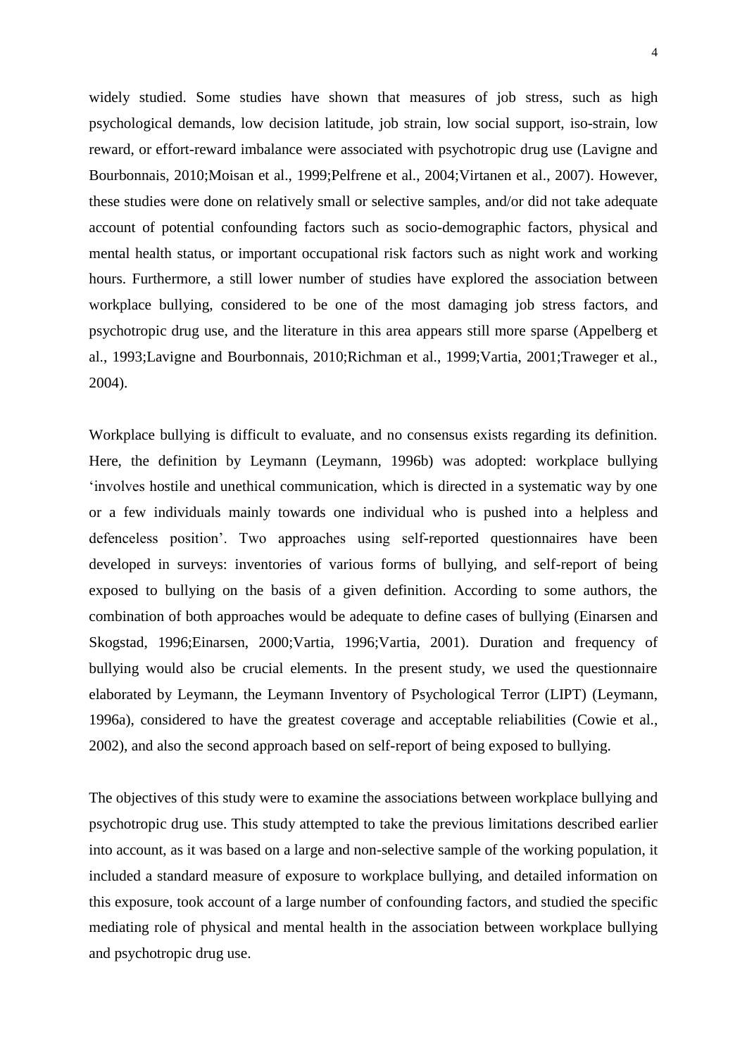widely studied. Some studies have shown that measures of job stress, such as high psychological demands, low decision latitude, job strain, low social support, iso-strain, low reward, or effort-reward imbalance were associated with psychotropic drug use (Lavigne and Bourbonnais, 2010;Moisan et al., 1999;Pelfrene et al., 2004;Virtanen et al., 2007). However, these studies were done on relatively small or selective samples, and/or did not take adequate account of potential confounding factors such as socio-demographic factors, physical and mental health status, or important occupational risk factors such as night work and working hours. Furthermore, a still lower number of studies have explored the association between workplace bullying, considered to be one of the most damaging job stress factors, and psychotropic drug use, and the literature in this area appears still more sparse (Appelberg et al., 1993;Lavigne and Bourbonnais, 2010;Richman et al., 1999;Vartia, 2001;Traweger et al., 2004).

Workplace bullying is difficult to evaluate, and no consensus exists regarding its definition. Here, the definition by Leymann (Leymann, 1996b) was adopted: workplace bullying 'involves hostile and unethical communication, which is directed in a systematic way by one or a few individuals mainly towards one individual who is pushed into a helpless and defenceless position'. Two approaches using self-reported questionnaires have been developed in surveys: inventories of various forms of bullying, and self-report of being exposed to bullying on the basis of a given definition. According to some authors, the combination of both approaches would be adequate to define cases of bullying (Einarsen and Skogstad, 1996;Einarsen, 2000;Vartia, 1996;Vartia, 2001). Duration and frequency of bullying would also be crucial elements. In the present study, we used the questionnaire elaborated by Leymann, the Leymann Inventory of Psychological Terror (LIPT) (Leymann, 1996a), considered to have the greatest coverage and acceptable reliabilities (Cowie et al., 2002), and also the second approach based on self-report of being exposed to bullying.

The objectives of this study were to examine the associations between workplace bullying and psychotropic drug use. This study attempted to take the previous limitations described earlier into account, as it was based on a large and non-selective sample of the working population, it included a standard measure of exposure to workplace bullying, and detailed information on this exposure, took account of a large number of confounding factors, and studied the specific mediating role of physical and mental health in the association between workplace bullying and psychotropic drug use.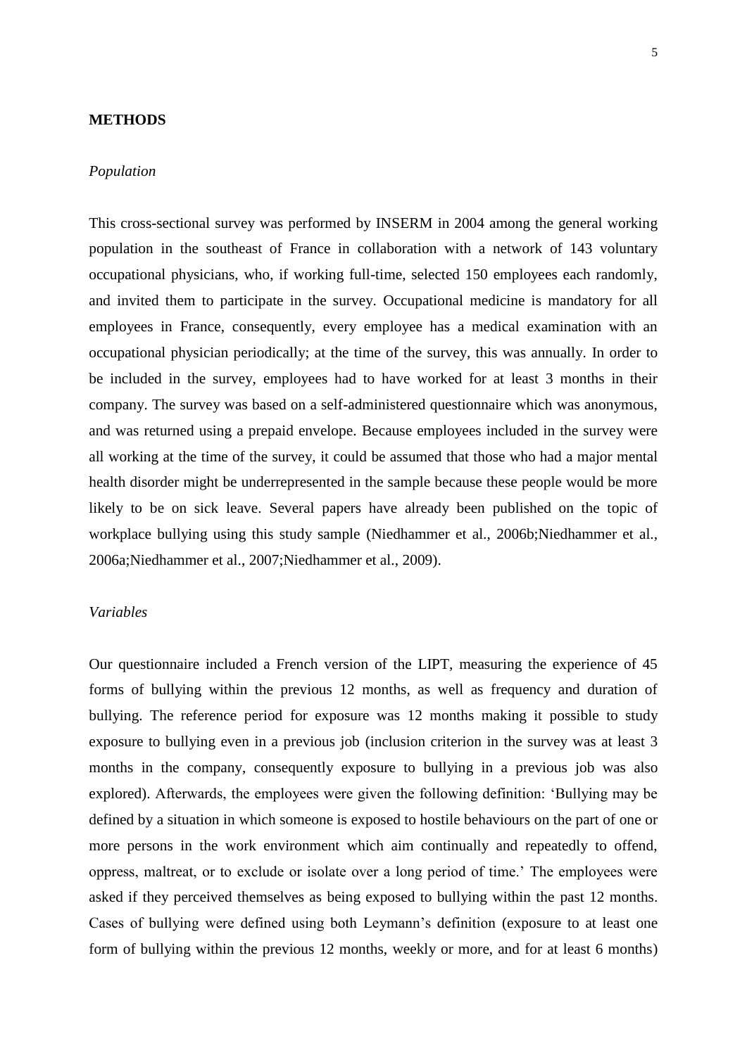# **METHODS**

#### *Population*

This cross-sectional survey was performed by INSERM in 2004 among the general working population in the southeast of France in collaboration with a network of 143 voluntary occupational physicians, who, if working full-time, selected 150 employees each randomly, and invited them to participate in the survey. Occupational medicine is mandatory for all employees in France, consequently, every employee has a medical examination with an occupational physician periodically; at the time of the survey, this was annually. In order to be included in the survey, employees had to have worked for at least 3 months in their company. The survey was based on a self-administered questionnaire which was anonymous, and was returned using a prepaid envelope. Because employees included in the survey were all working at the time of the survey, it could be assumed that those who had a major mental health disorder might be underrepresented in the sample because these people would be more likely to be on sick leave. Several papers have already been published on the topic of workplace bullying using this study sample (Niedhammer et al., 2006b;Niedhammer et al., 2006a;Niedhammer et al., 2007;Niedhammer et al., 2009).

# *Variables*

Our questionnaire included a French version of the LIPT, measuring the experience of 45 forms of bullying within the previous 12 months, as well as frequency and duration of bullying. The reference period for exposure was 12 months making it possible to study exposure to bullying even in a previous job (inclusion criterion in the survey was at least 3 months in the company, consequently exposure to bullying in a previous job was also explored). Afterwards, the employees were given the following definition: 'Bullying may be defined by a situation in which someone is exposed to hostile behaviours on the part of one or more persons in the work environment which aim continually and repeatedly to offend, oppress, maltreat, or to exclude or isolate over a long period of time.' The employees were asked if they perceived themselves as being exposed to bullying within the past 12 months. Cases of bullying were defined using both Leymann's definition (exposure to at least one form of bullying within the previous 12 months, weekly or more, and for at least 6 months)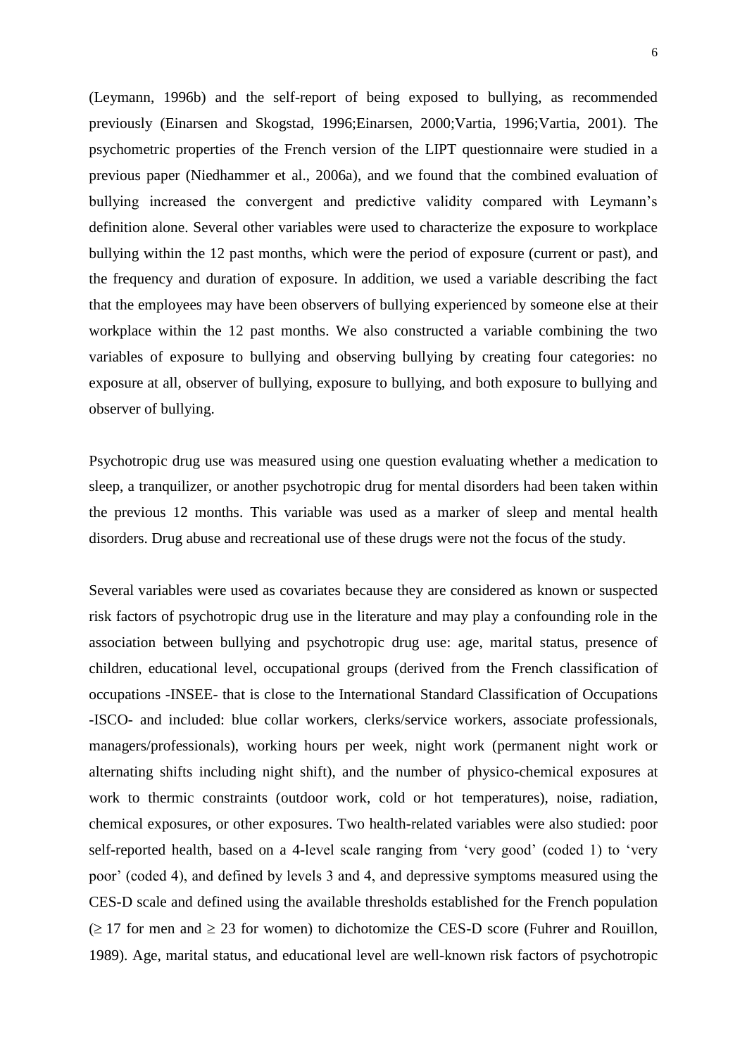(Leymann, 1996b) and the self-report of being exposed to bullying, as recommended previously (Einarsen and Skogstad, 1996;Einarsen, 2000;Vartia, 1996;Vartia, 2001). The psychometric properties of the French version of the LIPT questionnaire were studied in a previous paper (Niedhammer et al., 2006a), and we found that the combined evaluation of bullying increased the convergent and predictive validity compared with Leymann's definition alone. Several other variables were used to characterize the exposure to workplace bullying within the 12 past months, which were the period of exposure (current or past), and the frequency and duration of exposure. In addition, we used a variable describing the fact that the employees may have been observers of bullying experienced by someone else at their workplace within the 12 past months. We also constructed a variable combining the two variables of exposure to bullying and observing bullying by creating four categories: no exposure at all, observer of bullying, exposure to bullying, and both exposure to bullying and observer of bullying.

Psychotropic drug use was measured using one question evaluating whether a medication to sleep, a tranquilizer, or another psychotropic drug for mental disorders had been taken within the previous 12 months. This variable was used as a marker of sleep and mental health disorders. Drug abuse and recreational use of these drugs were not the focus of the study.

Several variables were used as covariates because they are considered as known or suspected risk factors of psychotropic drug use in the literature and may play a confounding role in the association between bullying and psychotropic drug use: age, marital status, presence of children, educational level, occupational groups (derived from the French classification of occupations -INSEE- that is close to the International Standard Classification of Occupations -ISCO- and included: blue collar workers, clerks/service workers, associate professionals, managers/professionals), working hours per week, night work (permanent night work or alternating shifts including night shift), and the number of physico-chemical exposures at work to thermic constraints (outdoor work, cold or hot temperatures), noise, radiation, chemical exposures, or other exposures. Two health-related variables were also studied: poor self-reported health, based on a 4-level scale ranging from 'very good' (coded 1) to 'very poor' (coded 4), and defined by levels 3 and 4, and depressive symptoms measured using the CES-D scale and defined using the available thresholds established for the French population  $( \geq 17$  for men and  $\geq 23$  for women) to dichotomize the CES-D score (Fuhrer and Rouillon, 1989). Age, marital status, and educational level are well-known risk factors of psychotropic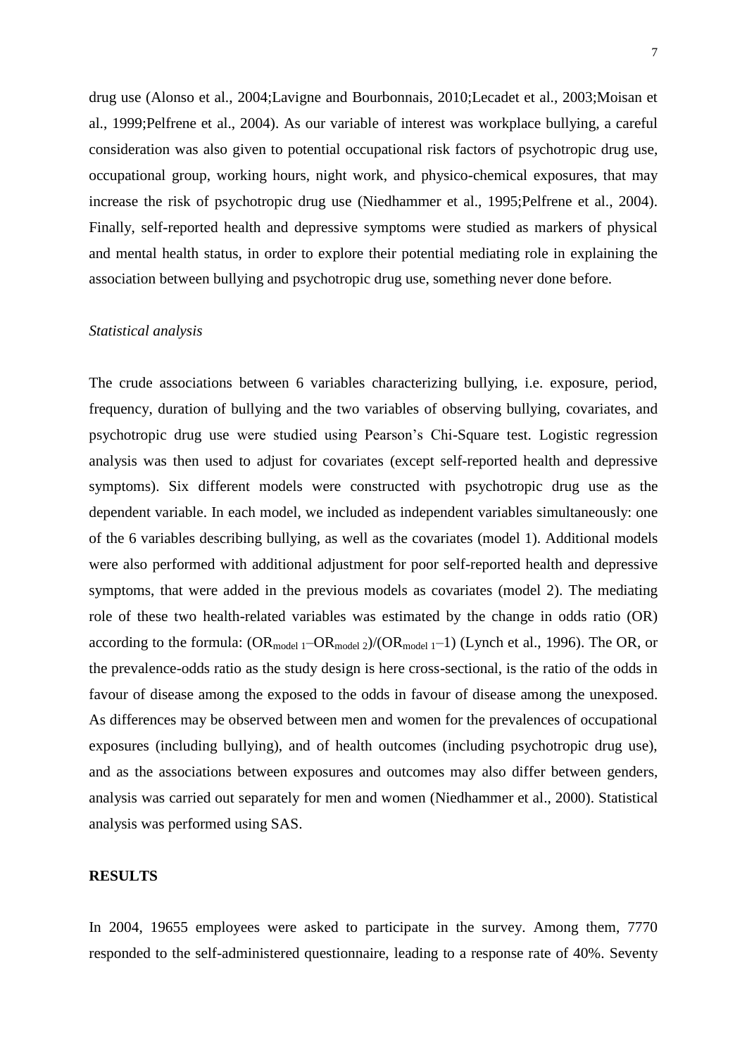drug use (Alonso et al., 2004;Lavigne and Bourbonnais, 2010;Lecadet et al., 2003;Moisan et al., 1999;Pelfrene et al., 2004). As our variable of interest was workplace bullying, a careful consideration was also given to potential occupational risk factors of psychotropic drug use, occupational group, working hours, night work, and physico-chemical exposures, that may increase the risk of psychotropic drug use (Niedhammer et al., 1995;Pelfrene et al., 2004). Finally, self-reported health and depressive symptoms were studied as markers of physical and mental health status, in order to explore their potential mediating role in explaining the association between bullying and psychotropic drug use, something never done before.

## *Statistical analysis*

The crude associations between 6 variables characterizing bullying, i.e. exposure, period, frequency, duration of bullying and the two variables of observing bullying, covariates, and psychotropic drug use were studied using Pearson's Chi-Square test. Logistic regression analysis was then used to adjust for covariates (except self-reported health and depressive symptoms). Six different models were constructed with psychotropic drug use as the dependent variable. In each model, we included as independent variables simultaneously: one of the 6 variables describing bullying, as well as the covariates (model 1). Additional models were also performed with additional adjustment for poor self-reported health and depressive symptoms, that were added in the previous models as covariates (model 2). The mediating role of these two health-related variables was estimated by the change in odds ratio (OR) according to the formula:  $OR_{model 1}$ – $OR_{model 2}$ )/ $(OR_{model 1}$ –1) (Lynch et al., 1996). The OR, or the prevalence-odds ratio as the study design is here cross-sectional, is the ratio of the odds in favour of disease among the exposed to the odds in favour of disease among the unexposed. As differences may be observed between men and women for the prevalences of occupational exposures (including bullying), and of health outcomes (including psychotropic drug use), and as the associations between exposures and outcomes may also differ between genders, analysis was carried out separately for men and women (Niedhammer et al., 2000). Statistical analysis was performed using SAS.

## **RESULTS**

In 2004, 19655 employees were asked to participate in the survey. Among them, 7770 responded to the self-administered questionnaire, leading to a response rate of 40%. Seventy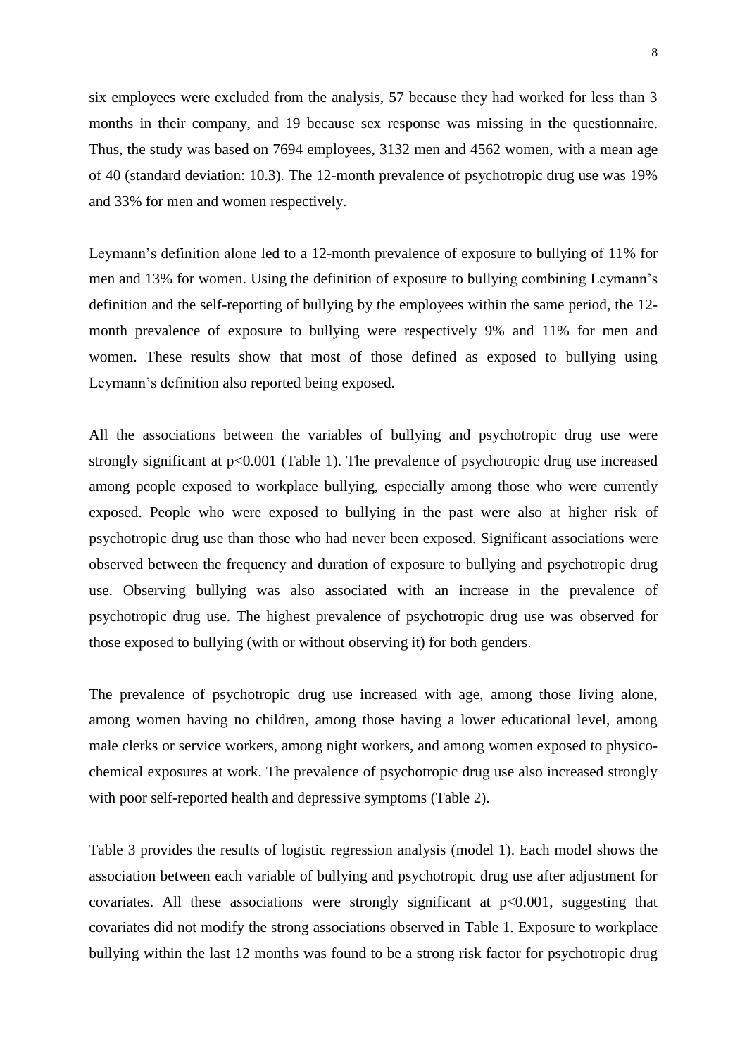six employees were excluded from the analysis, 57 because they had worked for less than 3 months in their company, and 19 because sex response was missing in the questionnaire. Thus, the study was based on 7694 employees, 3132 men and 4562 women, with a mean age of 40 (standard deviation: 10.3). The 12-month prevalence of psychotropic drug use was 19% and 33% for men and women respectively.

Leymann's definition alone led to a 12-month prevalence of exposure to bullying of 11% for men and 13% for women. Using the definition of exposure to bullying combining Leymann's definition and the self-reporting of bullying by the employees within the same period, the 12 month prevalence of exposure to bullying were respectively 9% and 11% for men and women. These results show that most of those defined as exposed to bullying using Leymann's definition also reported being exposed.

All the associations between the variables of bullying and psychotropic drug use were strongly significant at p<0.001 (Table 1). The prevalence of psychotropic drug use increased among people exposed to workplace bullying, especially among those who were currently exposed. People who were exposed to bullying in the past were also at higher risk of psychotropic drug use than those who had never been exposed. Significant associations were observed between the frequency and duration of exposure to bullying and psychotropic drug use. Observing bullying was also associated with an increase in the prevalence of psychotropic drug use. The highest prevalence of psychotropic drug use was observed for those exposed to bullying (with or without observing it) for both genders.

The prevalence of psychotropic drug use increased with age, among those living alone, among women having no children, among those having a lower educational level, among male clerks or service workers, among night workers, and among women exposed to physicochemical exposures at work. The prevalence of psychotropic drug use also increased strongly with poor self-reported health and depressive symptoms (Table 2).

Table 3 provides the results of logistic regression analysis (model 1). Each model shows the association between each variable of bullying and psychotropic drug use after adjustment for covariates. All these associations were strongly significant at  $p<0.001$ , suggesting that covariates did not modify the strong associations observed in Table 1. Exposure to workplace bullying within the last 12 months was found to be a strong risk factor for psychotropic drug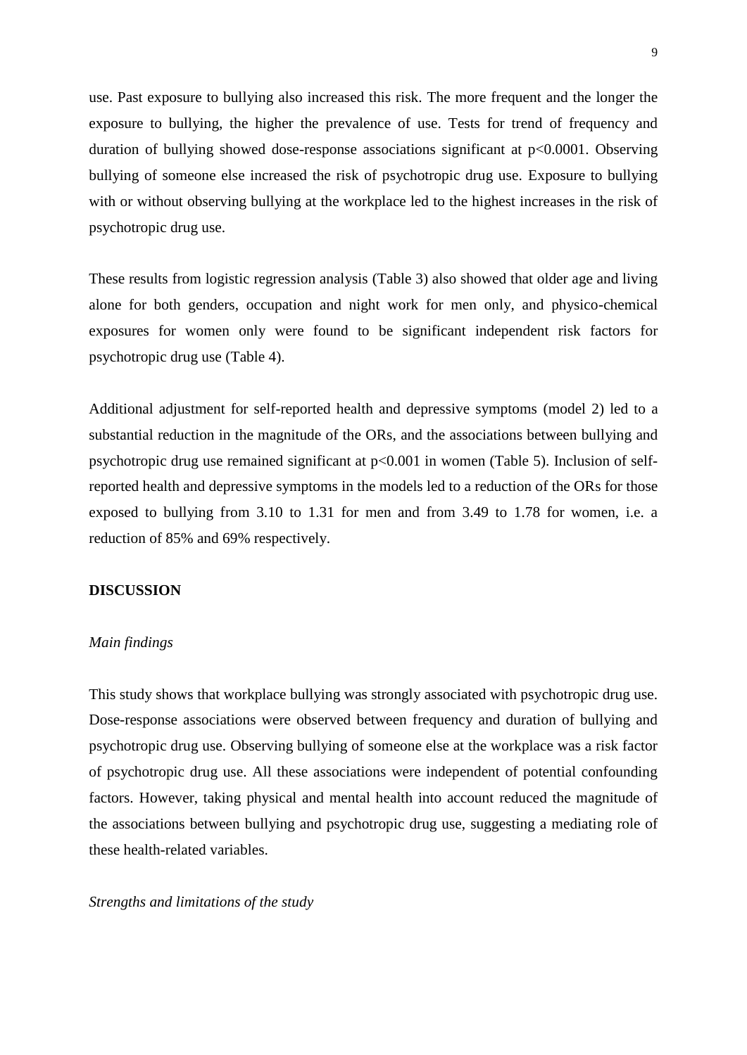use. Past exposure to bullying also increased this risk. The more frequent and the longer the exposure to bullying, the higher the prevalence of use. Tests for trend of frequency and duration of bullying showed dose-response associations significant at  $p<0.0001$ . Observing bullying of someone else increased the risk of psychotropic drug use. Exposure to bullying with or without observing bullying at the workplace led to the highest increases in the risk of psychotropic drug use.

These results from logistic regression analysis (Table 3) also showed that older age and living alone for both genders, occupation and night work for men only, and physico-chemical exposures for women only were found to be significant independent risk factors for psychotropic drug use (Table 4).

Additional adjustment for self-reported health and depressive symptoms (model 2) led to a substantial reduction in the magnitude of the ORs, and the associations between bullying and psychotropic drug use remained significant at p<0.001 in women (Table 5). Inclusion of selfreported health and depressive symptoms in the models led to a reduction of the ORs for those exposed to bullying from 3.10 to 1.31 for men and from 3.49 to 1.78 for women, i.e. a reduction of 85% and 69% respectively.

## **DISCUSSION**

## *Main findings*

This study shows that workplace bullying was strongly associated with psychotropic drug use. Dose-response associations were observed between frequency and duration of bullying and psychotropic drug use. Observing bullying of someone else at the workplace was a risk factor of psychotropic drug use. All these associations were independent of potential confounding factors. However, taking physical and mental health into account reduced the magnitude of the associations between bullying and psychotropic drug use, suggesting a mediating role of these health-related variables.

#### *Strengths and limitations of the study*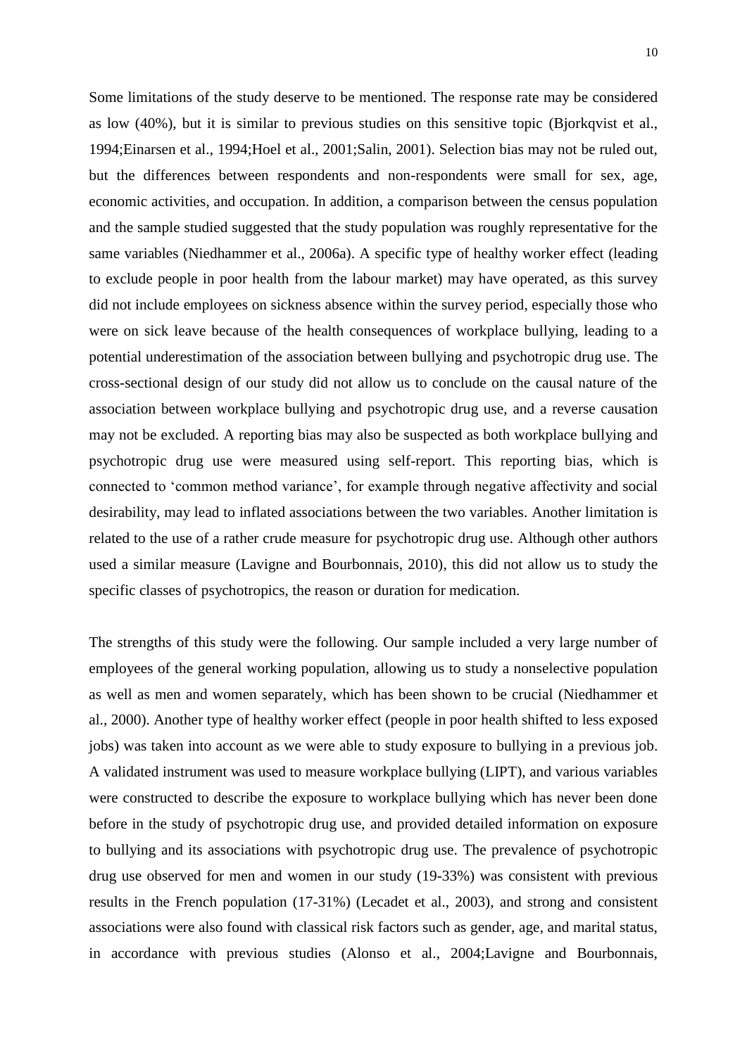Some limitations of the study deserve to be mentioned. The response rate may be considered as low (40%), but it is similar to previous studies on this sensitive topic (Bjorkqvist et al., 1994;Einarsen et al., 1994;Hoel et al., 2001;Salin, 2001). Selection bias may not be ruled out, but the differences between respondents and non-respondents were small for sex, age, economic activities, and occupation. In addition, a comparison between the census population and the sample studied suggested that the study population was roughly representative for the same variables (Niedhammer et al., 2006a). A specific type of healthy worker effect (leading to exclude people in poor health from the labour market) may have operated, as this survey did not include employees on sickness absence within the survey period, especially those who were on sick leave because of the health consequences of workplace bullying, leading to a potential underestimation of the association between bullying and psychotropic drug use. The cross-sectional design of our study did not allow us to conclude on the causal nature of the association between workplace bullying and psychotropic drug use, and a reverse causation may not be excluded. A reporting bias may also be suspected as both workplace bullying and psychotropic drug use were measured using self-report. This reporting bias, which is connected to 'common method variance', for example through negative affectivity and social desirability, may lead to inflated associations between the two variables. Another limitation is related to the use of a rather crude measure for psychotropic drug use. Although other authors used a similar measure (Lavigne and Bourbonnais, 2010), this did not allow us to study the specific classes of psychotropics, the reason or duration for medication.

The strengths of this study were the following. Our sample included a very large number of employees of the general working population, allowing us to study a nonselective population as well as men and women separately, which has been shown to be crucial (Niedhammer et al., 2000). Another type of healthy worker effect (people in poor health shifted to less exposed jobs) was taken into account as we were able to study exposure to bullying in a previous job. A validated instrument was used to measure workplace bullying (LIPT), and various variables were constructed to describe the exposure to workplace bullying which has never been done before in the study of psychotropic drug use, and provided detailed information on exposure to bullying and its associations with psychotropic drug use. The prevalence of psychotropic drug use observed for men and women in our study (19-33%) was consistent with previous results in the French population (17-31%) (Lecadet et al., 2003), and strong and consistent associations were also found with classical risk factors such as gender, age, and marital status, in accordance with previous studies (Alonso et al., 2004;Lavigne and Bourbonnais,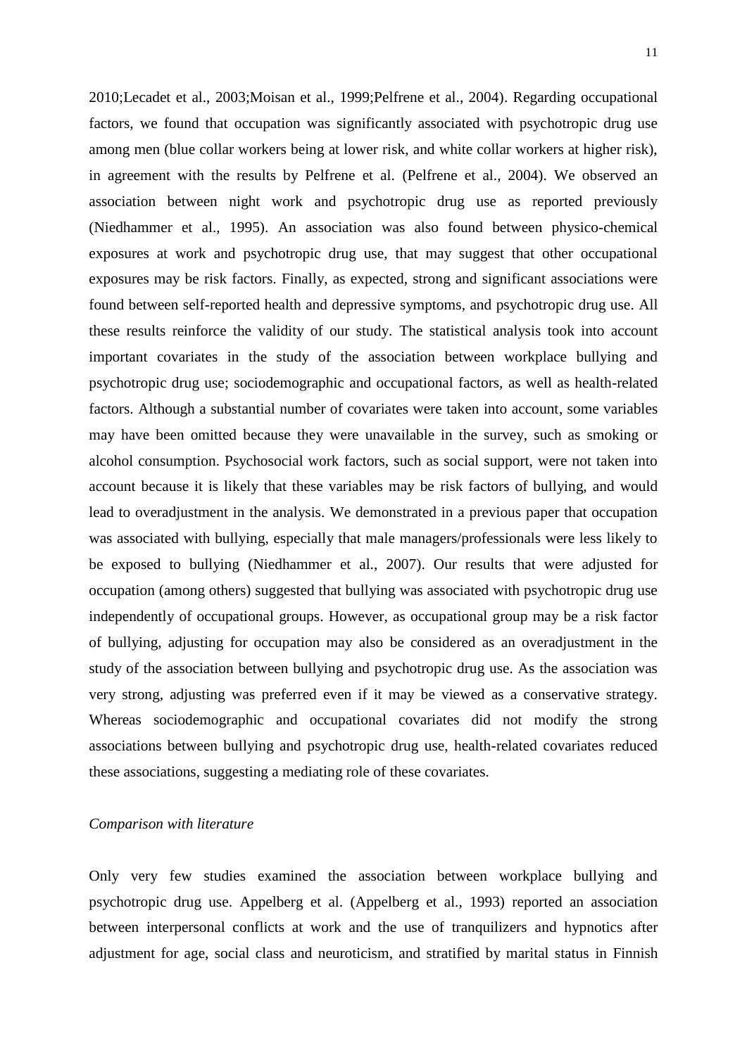2010;Lecadet et al., 2003;Moisan et al., 1999;Pelfrene et al., 2004). Regarding occupational factors, we found that occupation was significantly associated with psychotropic drug use among men (blue collar workers being at lower risk, and white collar workers at higher risk), in agreement with the results by Pelfrene et al. (Pelfrene et al., 2004). We observed an association between night work and psychotropic drug use as reported previously (Niedhammer et al., 1995). An association was also found between physico-chemical exposures at work and psychotropic drug use, that may suggest that other occupational exposures may be risk factors. Finally, as expected, strong and significant associations were found between self-reported health and depressive symptoms, and psychotropic drug use. All these results reinforce the validity of our study. The statistical analysis took into account important covariates in the study of the association between workplace bullying and psychotropic drug use; sociodemographic and occupational factors, as well as health-related factors. Although a substantial number of covariates were taken into account, some variables may have been omitted because they were unavailable in the survey, such as smoking or alcohol consumption. Psychosocial work factors, such as social support, were not taken into account because it is likely that these variables may be risk factors of bullying, and would lead to overadjustment in the analysis. We demonstrated in a previous paper that occupation was associated with bullying, especially that male managers/professionals were less likely to be exposed to bullying (Niedhammer et al., 2007). Our results that were adjusted for occupation (among others) suggested that bullying was associated with psychotropic drug use independently of occupational groups. However, as occupational group may be a risk factor of bullying, adjusting for occupation may also be considered as an overadjustment in the study of the association between bullying and psychotropic drug use. As the association was very strong, adjusting was preferred even if it may be viewed as a conservative strategy. Whereas sociodemographic and occupational covariates did not modify the strong associations between bullying and psychotropic drug use, health-related covariates reduced these associations, suggesting a mediating role of these covariates.

#### *Comparison with literature*

Only very few studies examined the association between workplace bullying and psychotropic drug use. Appelberg et al. (Appelberg et al., 1993) reported an association between interpersonal conflicts at work and the use of tranquilizers and hypnotics after adjustment for age, social class and neuroticism, and stratified by marital status in Finnish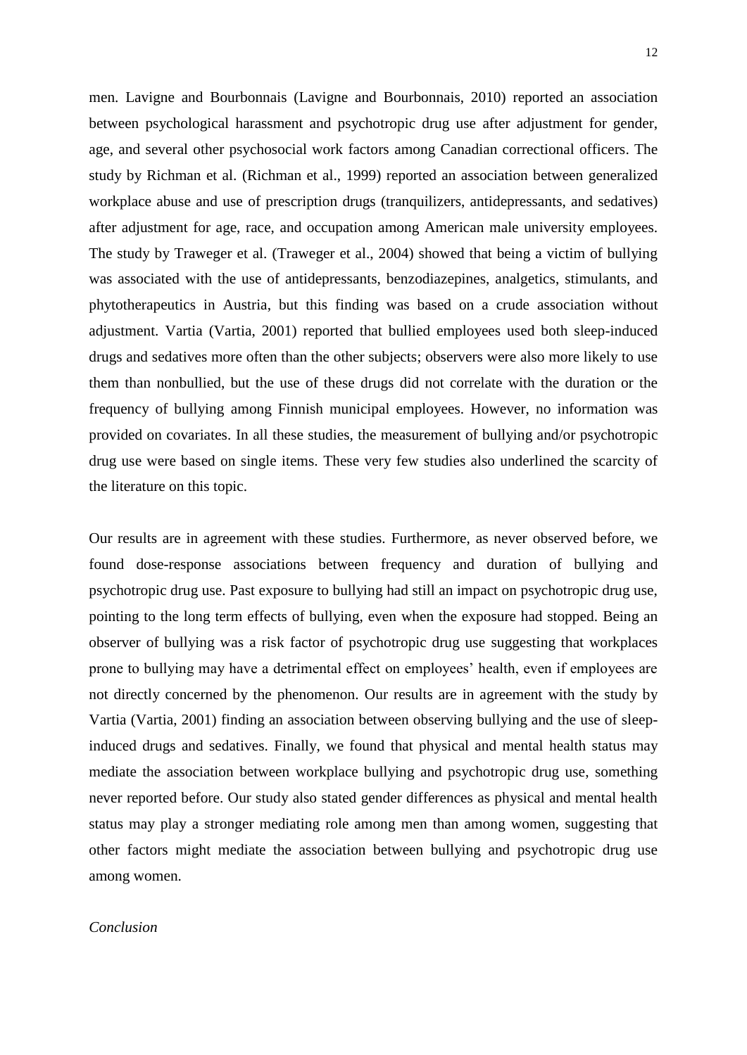men. Lavigne and Bourbonnais (Lavigne and Bourbonnais, 2010) reported an association between psychological harassment and psychotropic drug use after adjustment for gender, age, and several other psychosocial work factors among Canadian correctional officers. The study by Richman et al. (Richman et al., 1999) reported an association between generalized workplace abuse and use of prescription drugs (tranquilizers, antidepressants, and sedatives) after adjustment for age, race, and occupation among American male university employees. The study by Traweger et al. (Traweger et al., 2004) showed that being a victim of bullying was associated with the use of antidepressants, benzodiazepines, analgetics, stimulants, and phytotherapeutics in Austria, but this finding was based on a crude association without adjustment. Vartia (Vartia, 2001) reported that bullied employees used both sleep-induced drugs and sedatives more often than the other subjects; observers were also more likely to use them than nonbullied, but the use of these drugs did not correlate with the duration or the frequency of bullying among Finnish municipal employees. However, no information was provided on covariates. In all these studies, the measurement of bullying and/or psychotropic drug use were based on single items. These very few studies also underlined the scarcity of the literature on this topic.

Our results are in agreement with these studies. Furthermore, as never observed before, we found dose-response associations between frequency and duration of bullying and psychotropic drug use. Past exposure to bullying had still an impact on psychotropic drug use, pointing to the long term effects of bullying, even when the exposure had stopped. Being an observer of bullying was a risk factor of psychotropic drug use suggesting that workplaces prone to bullying may have a detrimental effect on employees' health, even if employees are not directly concerned by the phenomenon. Our results are in agreement with the study by Vartia (Vartia, 2001) finding an association between observing bullying and the use of sleepinduced drugs and sedatives. Finally, we found that physical and mental health status may mediate the association between workplace bullying and psychotropic drug use, something never reported before. Our study also stated gender differences as physical and mental health status may play a stronger mediating role among men than among women, suggesting that other factors might mediate the association between bullying and psychotropic drug use among women.

## *Conclusion*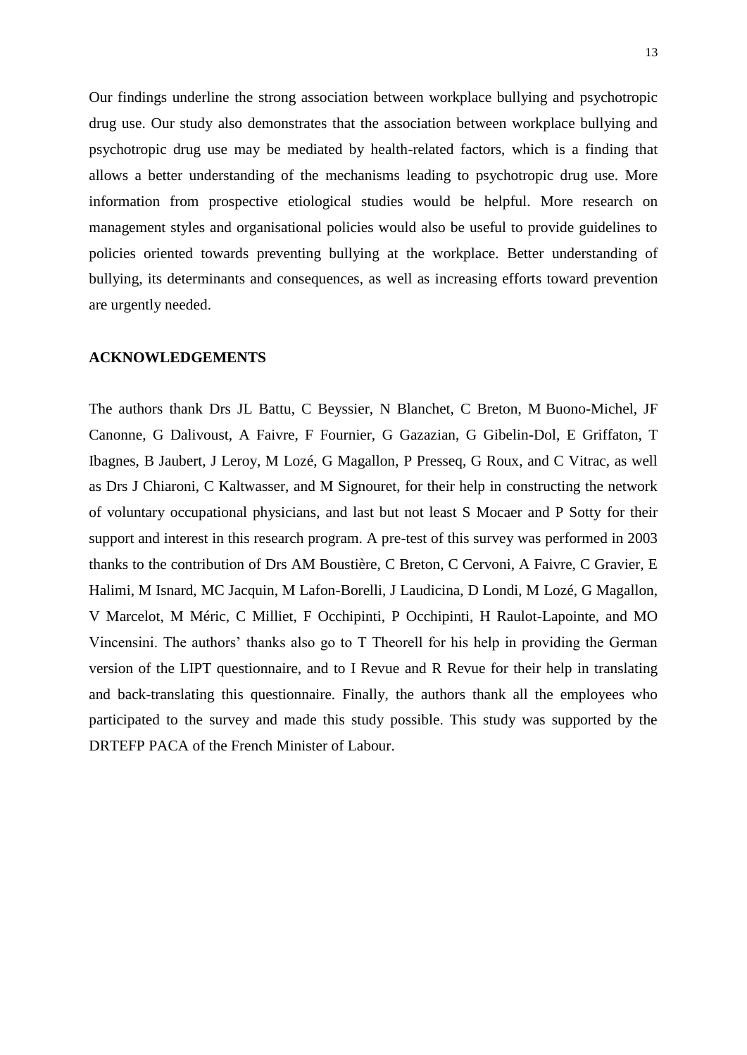Our findings underline the strong association between workplace bullying and psychotropic drug use. Our study also demonstrates that the association between workplace bullying and psychotropic drug use may be mediated by health-related factors, which is a finding that allows a better understanding of the mechanisms leading to psychotropic drug use. More information from prospective etiological studies would be helpful. More research on management styles and organisational policies would also be useful to provide guidelines to policies oriented towards preventing bullying at the workplace. Better understanding of bullying, its determinants and consequences, as well as increasing efforts toward prevention are urgently needed.

#### **ACKNOWLEDGEMENTS**

The authors thank Drs JL Battu, C Beyssier, N Blanchet, C Breton, M Buono-Michel, JF Canonne, G Dalivoust, A Faivre, F Fournier, G Gazazian, G Gibelin-Dol, E Griffaton, T Ibagnes, B Jaubert, J Leroy, M Lozé, G Magallon, P Presseq, G Roux, and C Vitrac, as well as Drs J Chiaroni, C Kaltwasser, and M Signouret, for their help in constructing the network of voluntary occupational physicians, and last but not least S Mocaer and P Sotty for their support and interest in this research program. A pre-test of this survey was performed in 2003 thanks to the contribution of Drs AM Boustière, C Breton, C Cervoni, A Faivre, C Gravier, E Halimi, M Isnard, MC Jacquin, M Lafon-Borelli, J Laudicina, D Londi, M Lozé, G Magallon, V Marcelot, M Méric, C Milliet, F Occhipinti, P Occhipinti, H Raulot-Lapointe, and MO Vincensini. The authors' thanks also go to T Theorell for his help in providing the German version of the LIPT questionnaire, and to I Revue and R Revue for their help in translating and back-translating this questionnaire. Finally, the authors thank all the employees who participated to the survey and made this study possible. This study was supported by the DRTEFP PACA of the French Minister of Labour.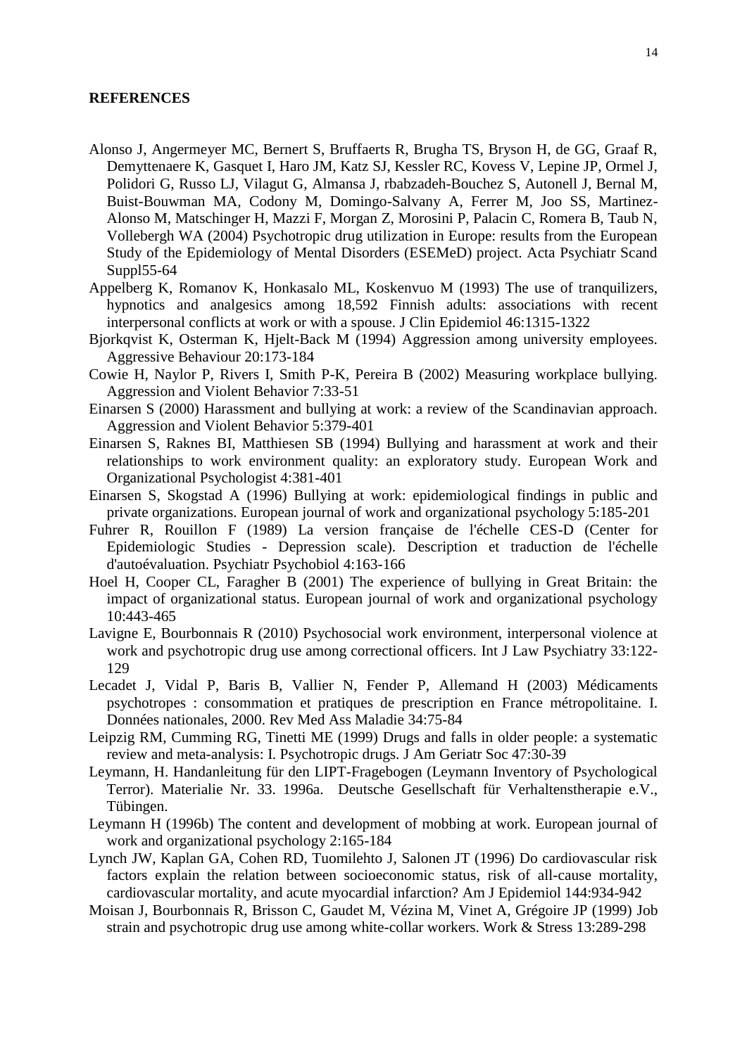#### **REFERENCES**

- Alonso J, Angermeyer MC, Bernert S, Bruffaerts R, Brugha TS, Bryson H, de GG, Graaf R, Demyttenaere K, Gasquet I, Haro JM, Katz SJ, Kessler RC, Kovess V, Lepine JP, Ormel J, Polidori G, Russo LJ, Vilagut G, Almansa J, rbabzadeh-Bouchez S, Autonell J, Bernal M, Buist-Bouwman MA, Codony M, Domingo-Salvany A, Ferrer M, Joo SS, Martinez-Alonso M, Matschinger H, Mazzi F, Morgan Z, Morosini P, Palacin C, Romera B, Taub N, Vollebergh WA (2004) Psychotropic drug utilization in Europe: results from the European Study of the Epidemiology of Mental Disorders (ESEMeD) project. Acta Psychiatr Scand Suppl55-64
- Appelberg K, Romanov K, Honkasalo ML, Koskenvuo M (1993) The use of tranquilizers, hypnotics and analgesics among 18,592 Finnish adults: associations with recent interpersonal conflicts at work or with a spouse. J Clin Epidemiol 46:1315-1322
- Bjorkqvist K, Osterman K, Hjelt-Back M (1994) Aggression among university employees. Aggressive Behaviour 20:173-184
- Cowie H, Naylor P, Rivers I, Smith P-K, Pereira B (2002) Measuring workplace bullying. Aggression and Violent Behavior 7:33-51
- Einarsen S (2000) Harassment and bullying at work: a review of the Scandinavian approach. Aggression and Violent Behavior 5:379-401
- Einarsen S, Raknes BI, Matthiesen SB (1994) Bullying and harassment at work and their relationships to work environment quality: an exploratory study. European Work and Organizational Psychologist 4:381-401
- Einarsen S, Skogstad A (1996) Bullying at work: epidemiological findings in public and private organizations. European journal of work and organizational psychology 5:185-201
- Fuhrer R, Rouillon F (1989) La version française de l'échelle CES-D (Center for Epidemiologic Studies - Depression scale). Description et traduction de l'échelle d'autoévaluation. Psychiatr Psychobiol 4:163-166
- Hoel H, Cooper CL, Faragher B (2001) The experience of bullying in Great Britain: the impact of organizational status. European journal of work and organizational psychology 10:443-465
- Lavigne E, Bourbonnais R (2010) Psychosocial work environment, interpersonal violence at work and psychotropic drug use among correctional officers. Int J Law Psychiatry 33:122- 129
- Lecadet J, Vidal P, Baris B, Vallier N, Fender P, Allemand H (2003) Médicaments psychotropes : consommation et pratiques de prescription en France métropolitaine. I. Données nationales, 2000. Rev Med Ass Maladie 34:75-84
- Leipzig RM, Cumming RG, Tinetti ME (1999) Drugs and falls in older people: a systematic review and meta-analysis: I. Psychotropic drugs. J Am Geriatr Soc 47:30-39
- Leymann, H. Handanleitung für den LIPT-Fragebogen (Leymann Inventory of Psychological Terror). Materialie Nr. 33. 1996a. Deutsche Gesellschaft für Verhaltenstherapie e.V., Tübingen.
- Leymann H (1996b) The content and development of mobbing at work. European journal of work and organizational psychology 2:165-184
- Lynch JW, Kaplan GA, Cohen RD, Tuomilehto J, Salonen JT (1996) Do cardiovascular risk factors explain the relation between socioeconomic status, risk of all-cause mortality, cardiovascular mortality, and acute myocardial infarction? Am J Epidemiol 144:934-942
- Moisan J, Bourbonnais R, Brisson C, Gaudet M, Vézina M, Vinet A, Grégoire JP (1999) Job strain and psychotropic drug use among white-collar workers. Work & Stress 13:289-298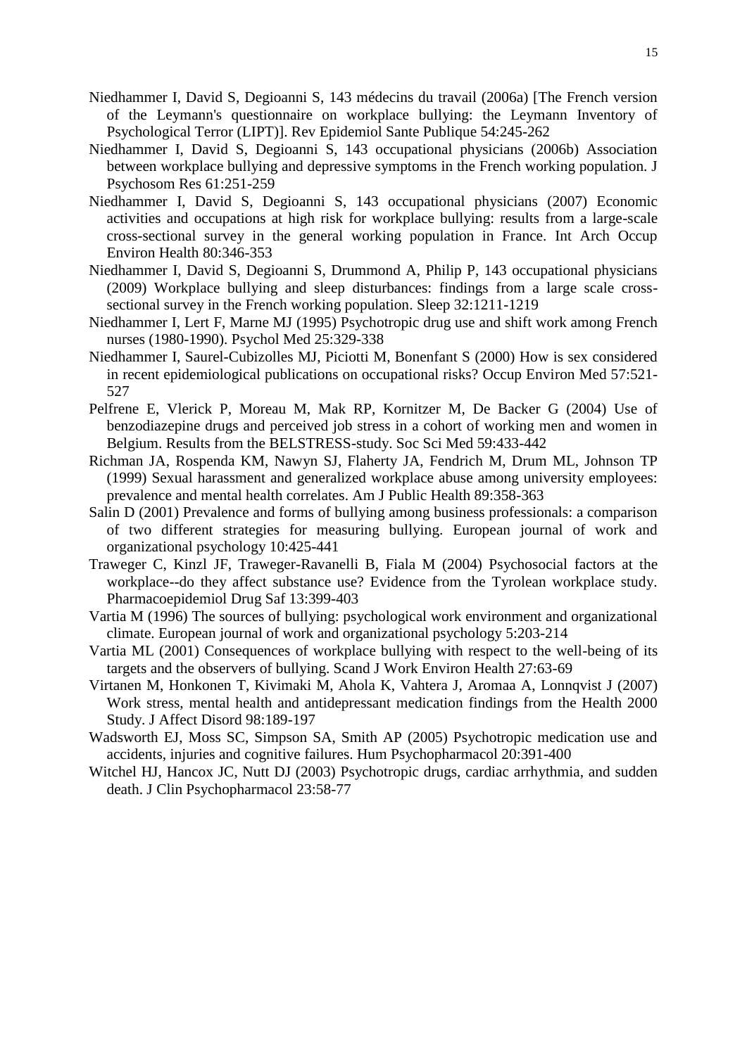- Niedhammer I, David S, Degioanni S, 143 médecins du travail (2006a) [The French version of the Leymann's questionnaire on workplace bullying: the Leymann Inventory of Psychological Terror (LIPT)]. Rev Epidemiol Sante Publique 54:245-262
- Niedhammer I, David S, Degioanni S, 143 occupational physicians (2006b) Association between workplace bullying and depressive symptoms in the French working population. J Psychosom Res 61:251-259
- Niedhammer I, David S, Degioanni S, 143 occupational physicians (2007) Economic activities and occupations at high risk for workplace bullying: results from a large-scale cross-sectional survey in the general working population in France. Int Arch Occup Environ Health 80:346-353
- Niedhammer I, David S, Degioanni S, Drummond A, Philip P, 143 occupational physicians (2009) Workplace bullying and sleep disturbances: findings from a large scale crosssectional survey in the French working population. Sleep 32:1211-1219
- Niedhammer I, Lert F, Marne MJ (1995) Psychotropic drug use and shift work among French nurses (1980-1990). Psychol Med 25:329-338
- Niedhammer I, Saurel-Cubizolles MJ, Piciotti M, Bonenfant S (2000) How is sex considered in recent epidemiological publications on occupational risks? Occup Environ Med 57:521- 527
- Pelfrene E, Vlerick P, Moreau M, Mak RP, Kornitzer M, De Backer G (2004) Use of benzodiazepine drugs and perceived job stress in a cohort of working men and women in Belgium. Results from the BELSTRESS-study. Soc Sci Med 59:433-442
- Richman JA, Rospenda KM, Nawyn SJ, Flaherty JA, Fendrich M, Drum ML, Johnson TP (1999) Sexual harassment and generalized workplace abuse among university employees: prevalence and mental health correlates. Am J Public Health 89:358-363
- Salin D (2001) Prevalence and forms of bullying among business professionals: a comparison of two different strategies for measuring bullying. European journal of work and organizational psychology 10:425-441
- Traweger C, Kinzl JF, Traweger-Ravanelli B, Fiala M (2004) Psychosocial factors at the workplace--do they affect substance use? Evidence from the Tyrolean workplace study. Pharmacoepidemiol Drug Saf 13:399-403
- Vartia M (1996) The sources of bullying: psychological work environment and organizational climate. European journal of work and organizational psychology 5:203-214
- Vartia ML (2001) Consequences of workplace bullying with respect to the well-being of its targets and the observers of bullying. Scand J Work Environ Health 27:63-69
- Virtanen M, Honkonen T, Kivimaki M, Ahola K, Vahtera J, Aromaa A, Lonnqvist J (2007) Work stress, mental health and antidepressant medication findings from the Health 2000 Study. J Affect Disord 98:189-197
- Wadsworth EJ, Moss SC, Simpson SA, Smith AP (2005) Psychotropic medication use and accidents, injuries and cognitive failures. Hum Psychopharmacol 20:391-400
- Witchel HJ, Hancox JC, Nutt DJ (2003) Psychotropic drugs, cardiac arrhythmia, and sudden death. J Clin Psychopharmacol 23:58-77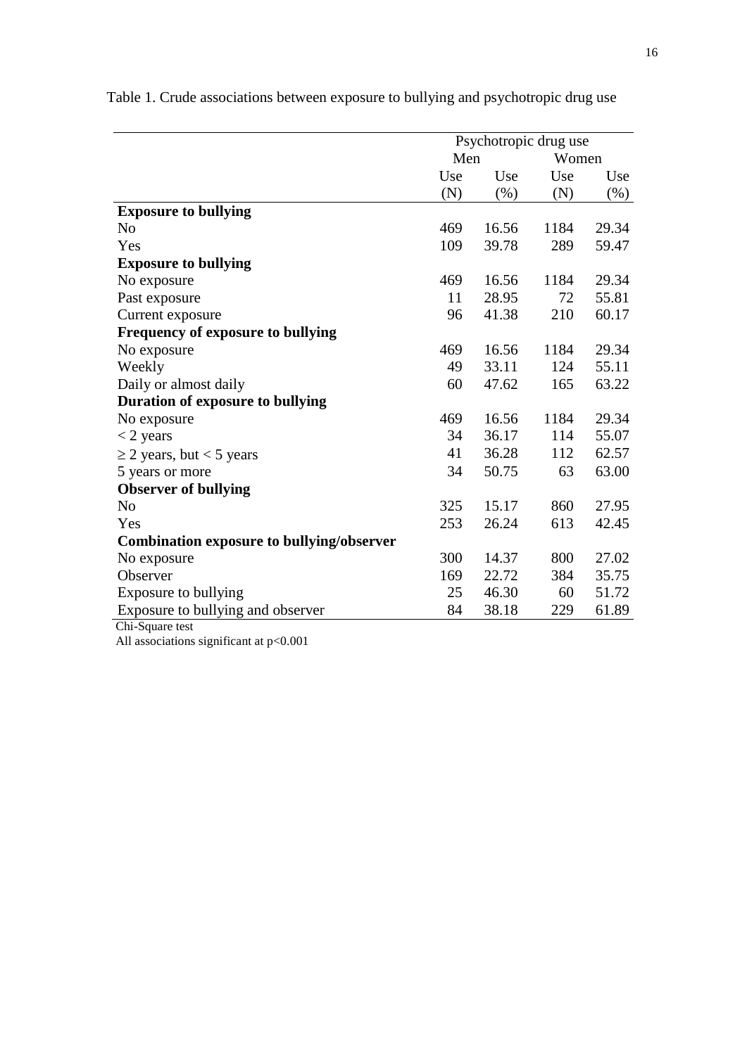|                                                  | Psychotropic drug use |       |       |        |
|--------------------------------------------------|-----------------------|-------|-------|--------|
|                                                  | Men                   |       | Women |        |
|                                                  | Use                   | Use   | Use   | Use    |
|                                                  | (N)                   | (% )  | (N)   | $(\%)$ |
| <b>Exposure to bullying</b>                      |                       |       |       |        |
| No                                               | 469                   | 16.56 | 1184  | 29.34  |
| Yes                                              | 109                   | 39.78 | 289   | 59.47  |
| <b>Exposure to bullying</b>                      |                       |       |       |        |
| No exposure                                      | 469                   | 16.56 | 1184  | 29.34  |
| Past exposure                                    | 11                    | 28.95 | 72    | 55.81  |
| Current exposure                                 | 96                    | 41.38 | 210   | 60.17  |
| Frequency of exposure to bullying                |                       |       |       |        |
| No exposure                                      | 469                   | 16.56 | 1184  | 29.34  |
| Weekly                                           | 49                    | 33.11 | 124   | 55.11  |
| Daily or almost daily                            | 60                    | 47.62 | 165   | 63.22  |
| Duration of exposure to bullying                 |                       |       |       |        |
| No exposure                                      | 469                   | 16.56 | 1184  | 29.34  |
| $<$ 2 years                                      | 34                    | 36.17 | 114   | 55.07  |
| $\geq$ 2 years, but < 5 years                    | 41                    | 36.28 | 112   | 62.57  |
| 5 years or more                                  | 34                    | 50.75 | 63    | 63.00  |
| <b>Observer of bullying</b>                      |                       |       |       |        |
| N <sub>o</sub>                                   | 325                   | 15.17 | 860   | 27.95  |
| Yes                                              | 253                   | 26.24 | 613   | 42.45  |
| <b>Combination exposure to bullying/observer</b> |                       |       |       |        |
| No exposure                                      | 300                   | 14.37 | 800   | 27.02  |
| Observer                                         | 169                   | 22.72 | 384   | 35.75  |
| Exposure to bullying                             | 25                    | 46.30 | 60    | 51.72  |
| Exposure to bullying and observer                | 84                    | 38.18 | 229   | 61.89  |
| Chi-Square test                                  |                       |       |       |        |

Table 1. Crude associations between exposure to bullying and psychotropic drug use

All associations significant at  $p < 0.001$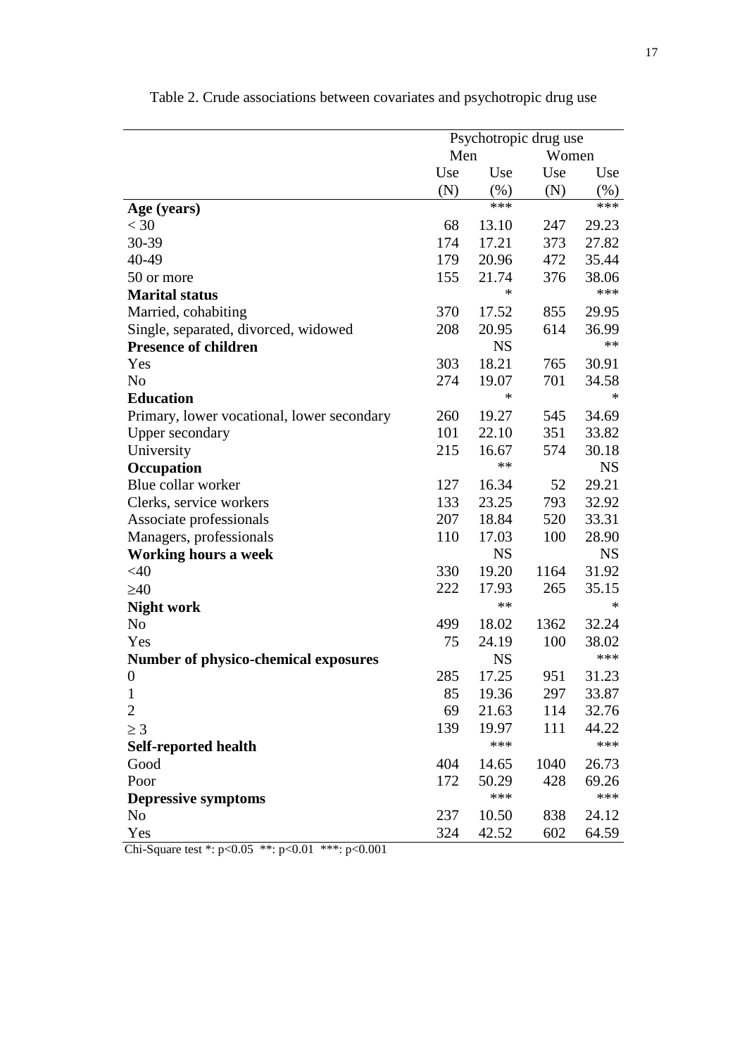|                                             | Psychotropic drug use |           |      |           |  |  |
|---------------------------------------------|-----------------------|-----------|------|-----------|--|--|
|                                             | Men                   |           |      | Women     |  |  |
|                                             | Use<br>Use            |           | Use  | Use       |  |  |
|                                             | (N)                   | (%)       | (N)  | $(\% )$   |  |  |
| Age (years)                                 |                       | ***       |      | ***       |  |  |
| $<$ 30                                      | 68                    | 13.10     | 247  | 29.23     |  |  |
| 30-39                                       | 174                   | 17.21     | 373  | 27.82     |  |  |
| 40-49                                       | 179                   | 20.96     | 472  | 35.44     |  |  |
| 50 or more                                  | 155                   | 21.74     | 376  | 38.06     |  |  |
| <b>Marital status</b>                       |                       | $\ast$    |      | ***       |  |  |
| Married, cohabiting                         | 370                   | 17.52     | 855  | 29.95     |  |  |
| Single, separated, divorced, widowed        | 208                   | 20.95     | 614  | 36.99     |  |  |
| <b>Presence of children</b>                 |                       | <b>NS</b> |      | **        |  |  |
| Yes                                         | 303                   | 18.21     | 765  | 30.91     |  |  |
| N <sub>o</sub>                              | 274                   | 19.07     | 701  | 34.58     |  |  |
| <b>Education</b>                            |                       | $\ast$    |      | ∗         |  |  |
| Primary, lower vocational, lower secondary  | 260                   | 19.27     | 545  | 34.69     |  |  |
| <b>Upper secondary</b>                      | 101                   | 22.10     | 351  | 33.82     |  |  |
| University                                  | 215                   | 16.67     | 574  | 30.18     |  |  |
| Occupation                                  |                       | **        |      | <b>NS</b> |  |  |
| Blue collar worker                          | 127                   | 16.34     | 52   | 29.21     |  |  |
| Clerks, service workers                     | 133                   | 23.25     | 793  | 32.92     |  |  |
| Associate professionals                     | 207                   | 18.84     | 520  | 33.31     |  |  |
| Managers, professionals                     | 110                   | 17.03     | 100  | 28.90     |  |  |
| <b>Working hours a week</b>                 |                       | <b>NS</b> |      | <b>NS</b> |  |  |
| <40                                         | 330                   | 19.20     | 1164 | 31.92     |  |  |
| $\geq 40$                                   | 222                   | 17.93     | 265  | 35.15     |  |  |
| <b>Night work</b>                           |                       | **        |      | $\ast$    |  |  |
| N <sub>o</sub>                              | 499                   | 18.02     | 1362 | 32.24     |  |  |
| Yes                                         | 75                    | 24.19     | 100  | 38.02     |  |  |
| <b>Number of physico-chemical exposures</b> |                       | <b>NS</b> |      | ***       |  |  |
| $\boldsymbol{0}$                            | 285                   | 17.25     | 951  | 31.23     |  |  |
| $\mathbf{1}$                                | 85                    | 19.36     | 297  | 33.87     |  |  |
| $\overline{2}$                              | 69                    | 21.63     | 114  | 32.76     |  |  |
| $\geq 3$                                    | 139                   | 19.97     | 111  | 44.22     |  |  |
| <b>Self-reported health</b>                 |                       | ***       |      | ***       |  |  |
| Good                                        | 404                   | 14.65     | 1040 | 26.73     |  |  |
| Poor                                        | 172                   | 50.29     | 428  | 69.26     |  |  |
| <b>Depressive symptoms</b>                  |                       | ***       |      | ***       |  |  |
| N <sub>o</sub>                              | 237                   | 10.50     | 838  | 24.12     |  |  |
| Yes                                         | 324                   | 42.52     | 602  | 64.59     |  |  |

Table 2. Crude associations between covariates and psychotropic drug use

Chi-Square test \*: p<0.05 \*\*: p<0.01 \*\*\*: p<0.001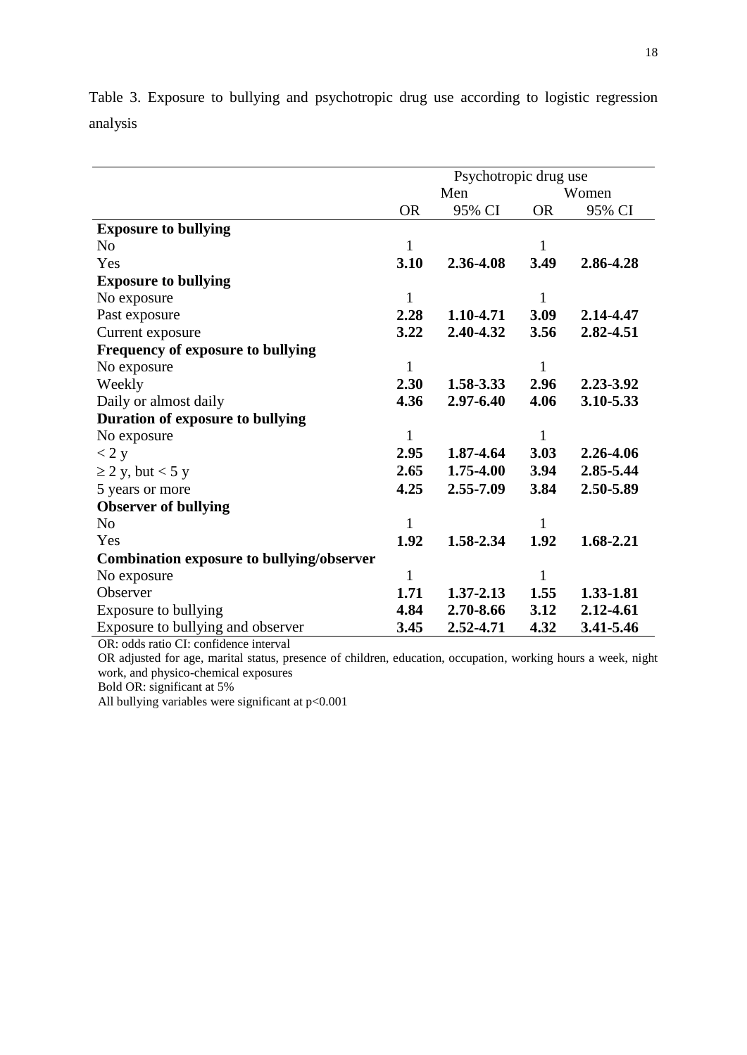|                                                  | Psychotropic drug use |               |              |           |
|--------------------------------------------------|-----------------------|---------------|--------------|-----------|
|                                                  | Men                   |               |              | Women     |
|                                                  | <b>OR</b>             | 95% CI        | <b>OR</b>    | 95% CI    |
| <b>Exposure to bullying</b>                      |                       |               |              |           |
| No                                               | $\mathbf{1}$          |               | 1            |           |
| Yes                                              | 3.10                  | 2.36-4.08     | 3.49         | 2.86-4.28 |
| <b>Exposure to bullying</b>                      |                       |               |              |           |
| No exposure                                      | $\mathbf{1}$          |               | $\mathbf 1$  |           |
| Past exposure                                    | 2.28                  | 1.10-4.71     | 3.09         | 2.14-4.47 |
| Current exposure                                 | 3.22                  | 2.40-4.32     | 3.56         | 2.82-4.51 |
| Frequency of exposure to bullying                |                       |               |              |           |
| No exposure                                      | $\mathbf{1}$          |               | $\mathbf{1}$ |           |
| Weekly                                           | 2.30                  | 1.58-3.33     | 2.96         | 2.23-3.92 |
| Daily or almost daily                            | 4.36                  | 2.97-6.40     | 4.06         | 3.10-5.33 |
| <b>Duration of exposure to bullying</b>          |                       |               |              |           |
| No exposure                                      | $\mathbf{1}$          |               | 1            |           |
| < 2 y                                            | 2.95                  | 1.87-4.64     | 3.03         | 2.26-4.06 |
| $\geq$ 2 y, but < 5 y                            | 2.65                  | 1.75-4.00     | 3.94         | 2.85-5.44 |
| 5 years or more                                  | 4.25                  | 2.55-7.09     | 3.84         | 2.50-5.89 |
| <b>Observer of bullying</b>                      |                       |               |              |           |
| N <sub>o</sub>                                   | $\mathbf{1}$          |               | 1            |           |
| Yes                                              | 1.92                  | 1.58-2.34     | 1.92         | 1.68-2.21 |
| <b>Combination exposure to bullying/observer</b> |                       |               |              |           |
| No exposure                                      | $\mathbf{1}$          |               | $\mathbf{1}$ |           |
| Observer                                         | 1.71                  | $1.37 - 2.13$ | 1.55         | 1.33-1.81 |
| Exposure to bullying                             | 4.84                  | 2.70-8.66     | 3.12         | 2.12-4.61 |
| Exposure to bullying and observer                | 3.45                  | 2.52-4.71     | 4.32         | 3.41-5.46 |

Table 3. Exposure to bullying and psychotropic drug use according to logistic regression analysis

OR: odds ratio CI: confidence interval

OR adjusted for age, marital status, presence of children, education, occupation, working hours a week, night work, and physico-chemical exposures

Bold OR: significant at 5%

All bullying variables were significant at  $p<0.001$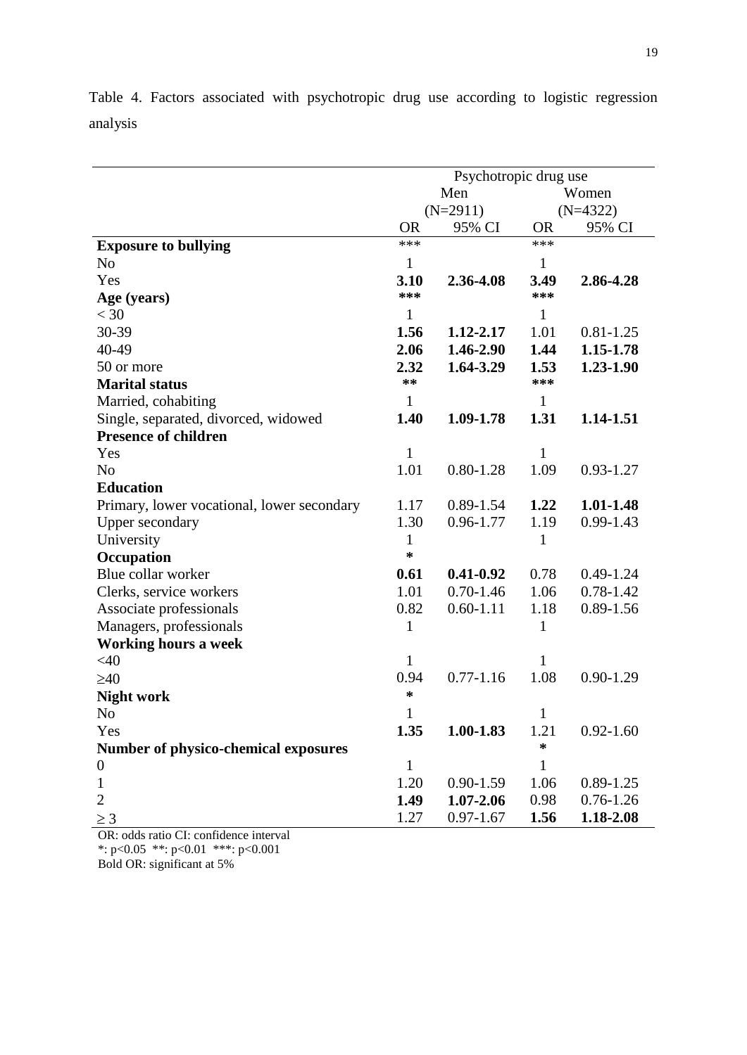|                                             | Psychotropic drug use |               |              |               |  |
|---------------------------------------------|-----------------------|---------------|--------------|---------------|--|
|                                             | Men                   |               |              | Women         |  |
|                                             | $(N=2911)$            |               |              | $(N=4322)$    |  |
|                                             | <b>OR</b>             | 95% CI        | <b>OR</b>    | 95% CI        |  |
| <b>Exposure to bullying</b>                 | ***                   |               | ***          |               |  |
| N <sub>o</sub>                              | 1                     |               | 1            |               |  |
| Yes                                         | 3.10                  | 2.36-4.08     | 3.49         | 2.86-4.28     |  |
| Age (years)                                 | ***                   |               | ***          |               |  |
| $<$ 30                                      | 1                     |               | 1            |               |  |
| 30-39                                       | 1.56                  | 1.12-2.17     | 1.01         | $0.81 - 1.25$ |  |
| 40-49                                       | 2.06                  | 1.46-2.90     | 1.44         | 1.15-1.78     |  |
| 50 or more                                  | 2.32                  | 1.64-3.29     | 1.53         | 1.23-1.90     |  |
| <b>Marital status</b>                       | **                    |               | ***          |               |  |
| Married, cohabiting                         | 1                     |               | 1            |               |  |
| Single, separated, divorced, widowed        | 1.40                  | 1.09-1.78     | 1.31         | 1.14-1.51     |  |
| <b>Presence of children</b>                 |                       |               |              |               |  |
| Yes                                         | $\mathbf{1}$          |               | $\mathbf{1}$ |               |  |
| N <sub>o</sub>                              | 1.01                  | $0.80 - 1.28$ | 1.09         | $0.93 - 1.27$ |  |
| <b>Education</b>                            |                       |               |              |               |  |
| Primary, lower vocational, lower secondary  | 1.17                  | $0.89 - 1.54$ | 1.22         | 1.01-1.48     |  |
| <b>Upper secondary</b>                      | 1.30                  | 0.96-1.77     | 1.19         | $0.99 - 1.43$ |  |
| University                                  | $\mathbf{1}$          |               | 1            |               |  |
| Occupation                                  | $\ast$                |               |              |               |  |
| Blue collar worker                          | 0.61                  | $0.41 - 0.92$ | 0.78         | $0.49 - 1.24$ |  |
| Clerks, service workers                     | 1.01                  | $0.70 - 1.46$ | 1.06         | $0.78 - 1.42$ |  |
| Associate professionals                     | 0.82                  | $0.60 - 1.11$ | 1.18         | $0.89 - 1.56$ |  |
| Managers, professionals                     | 1                     |               | 1            |               |  |
| <b>Working hours a week</b>                 |                       |               |              |               |  |
| <40                                         | 1                     |               | 1            |               |  |
| $\geq 40$                                   | 0.94                  | $0.77 - 1.16$ | 1.08         | $0.90 - 1.29$ |  |
| <b>Night work</b>                           | ∗                     |               |              |               |  |
| No                                          | $\mathbf{1}$          |               | $\mathbf{1}$ |               |  |
| Yes                                         | 1.35                  | 1.00-1.83     | 1.21         | $0.92 - 1.60$ |  |
| <b>Number of physico-chemical exposures</b> |                       |               | ∗            |               |  |
| $\boldsymbol{0}$                            | $\mathbf{1}$          |               | 1            |               |  |
| $\mathbf{1}$                                | 1.20                  | $0.90 - 1.59$ | 1.06         | $0.89 - 1.25$ |  |
| $\mathfrak{2}$                              | 1.49                  | 1.07-2.06     | 0.98         | $0.76 - 1.26$ |  |
| $\geq 3$                                    | 1.27                  | $0.97 - 1.67$ | 1.56         | 1.18-2.08     |  |
|                                             |                       |               |              |               |  |

Table 4. Factors associated with psychotropic drug use according to logistic regression analysis

OR: odds ratio CI: confidence interval \*:  $p<0.05$  \*\*:  $p<0.01$  \*\*\*:  $p<0.001$ 

Bold OR: significant at 5%